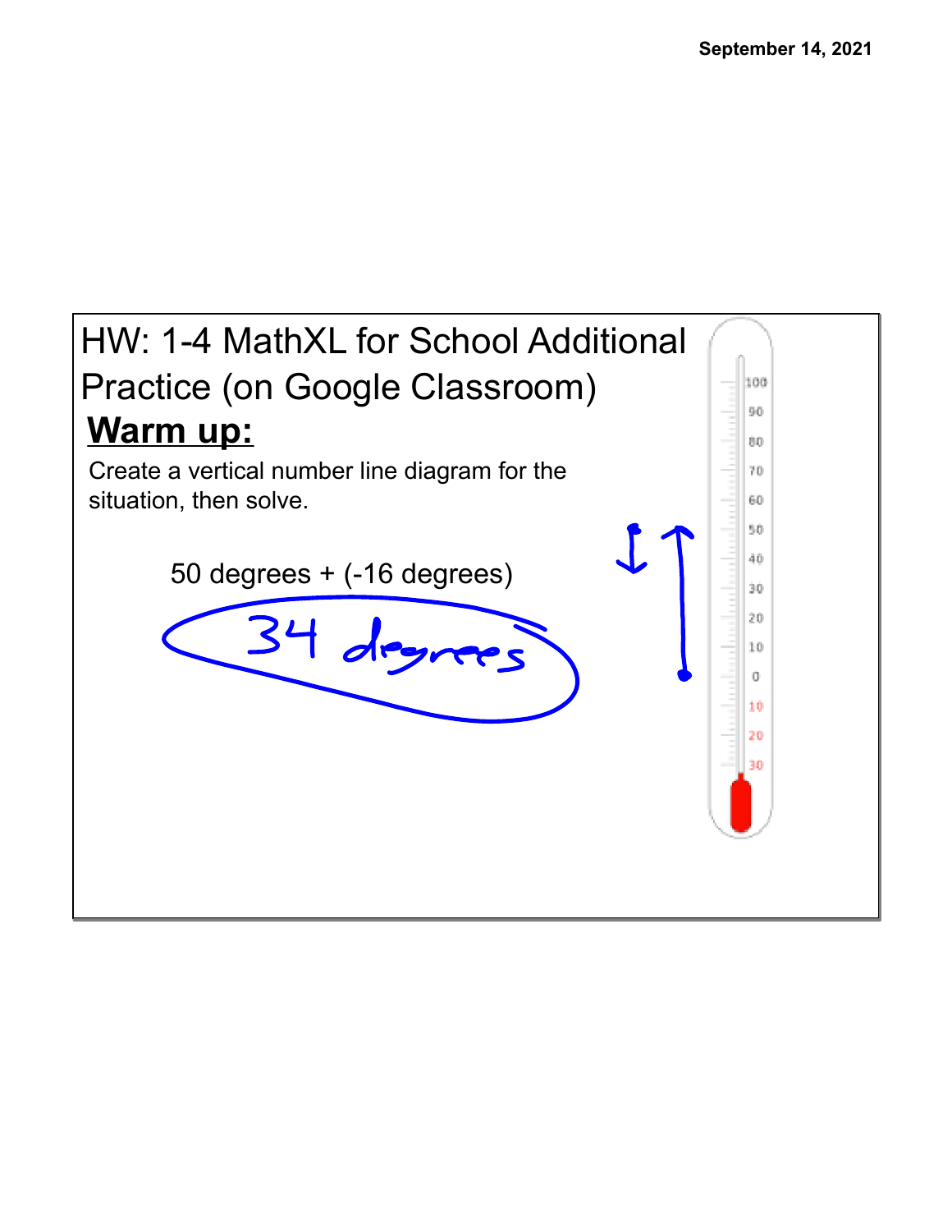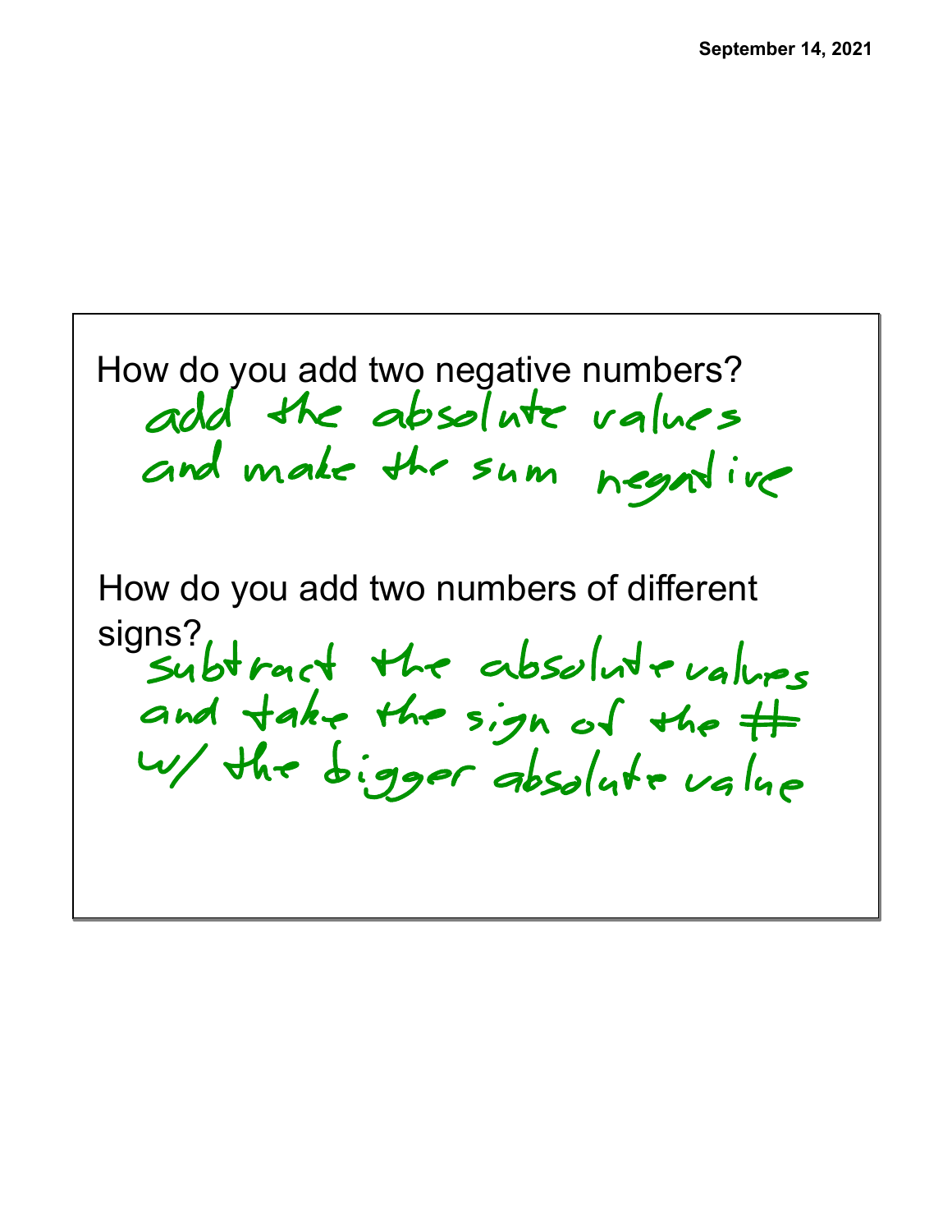How do you add two negative numbers?<br>add the absolute values and make the sum negative How do you add two numbers of different signs?<br>Subtract the absolute values and take the sign of the # w/ the bigger absolute value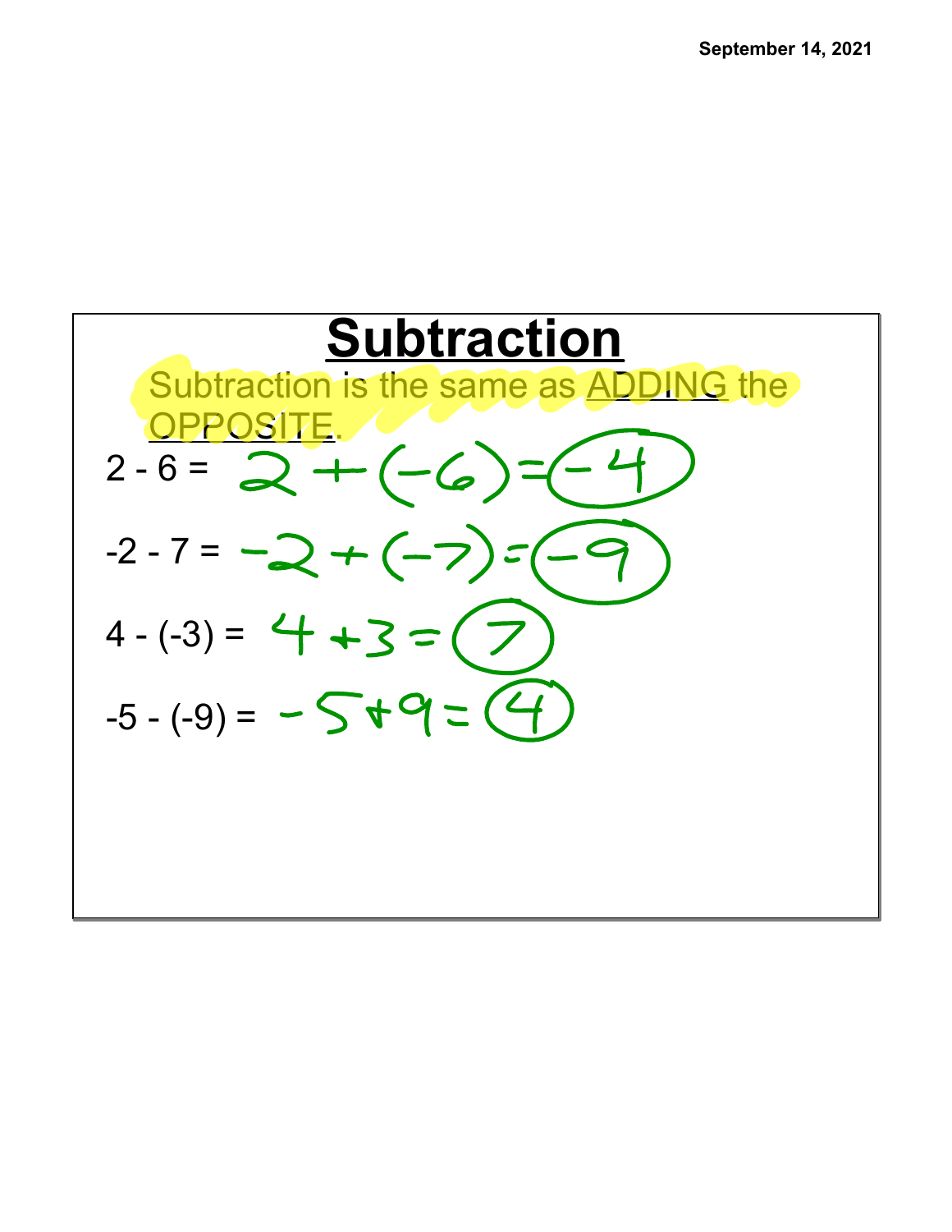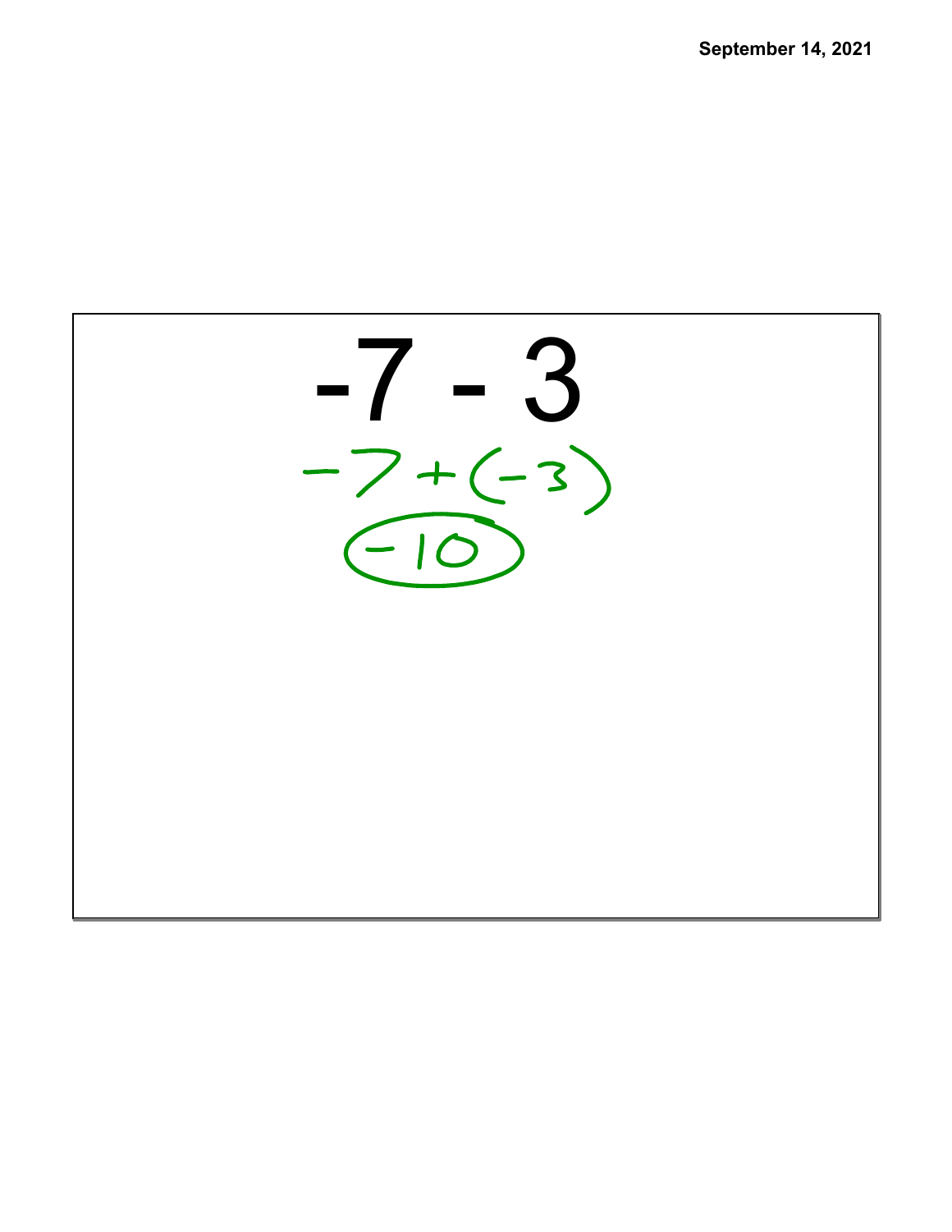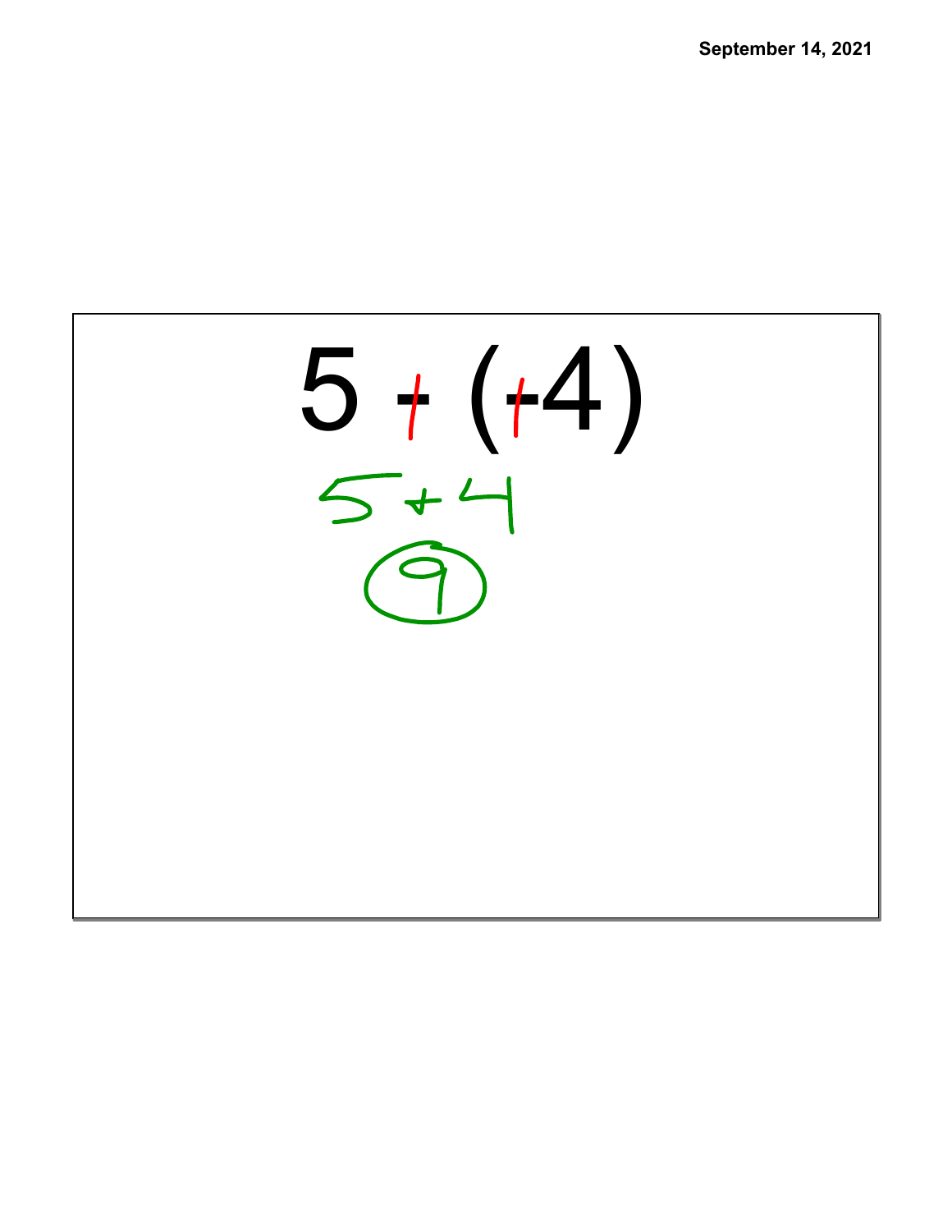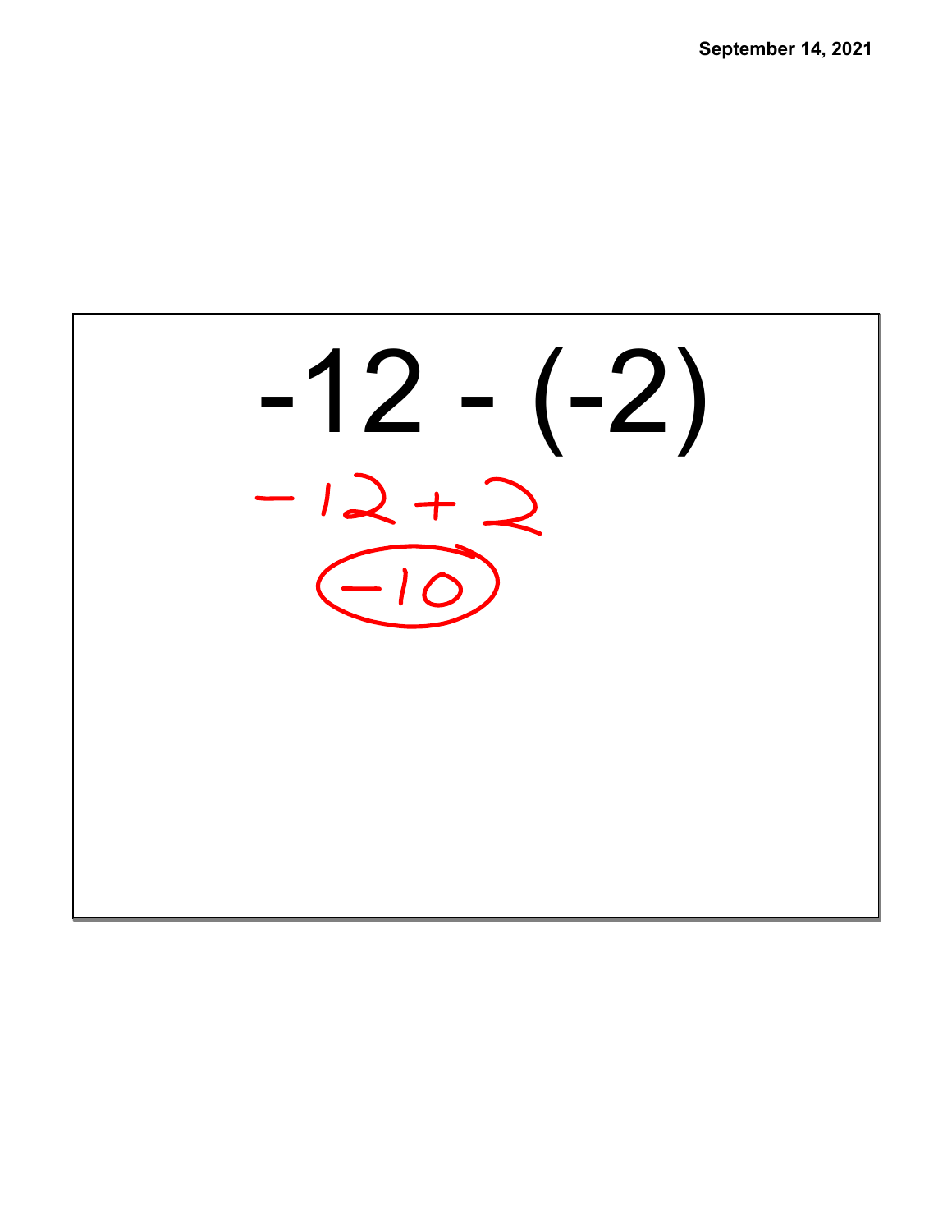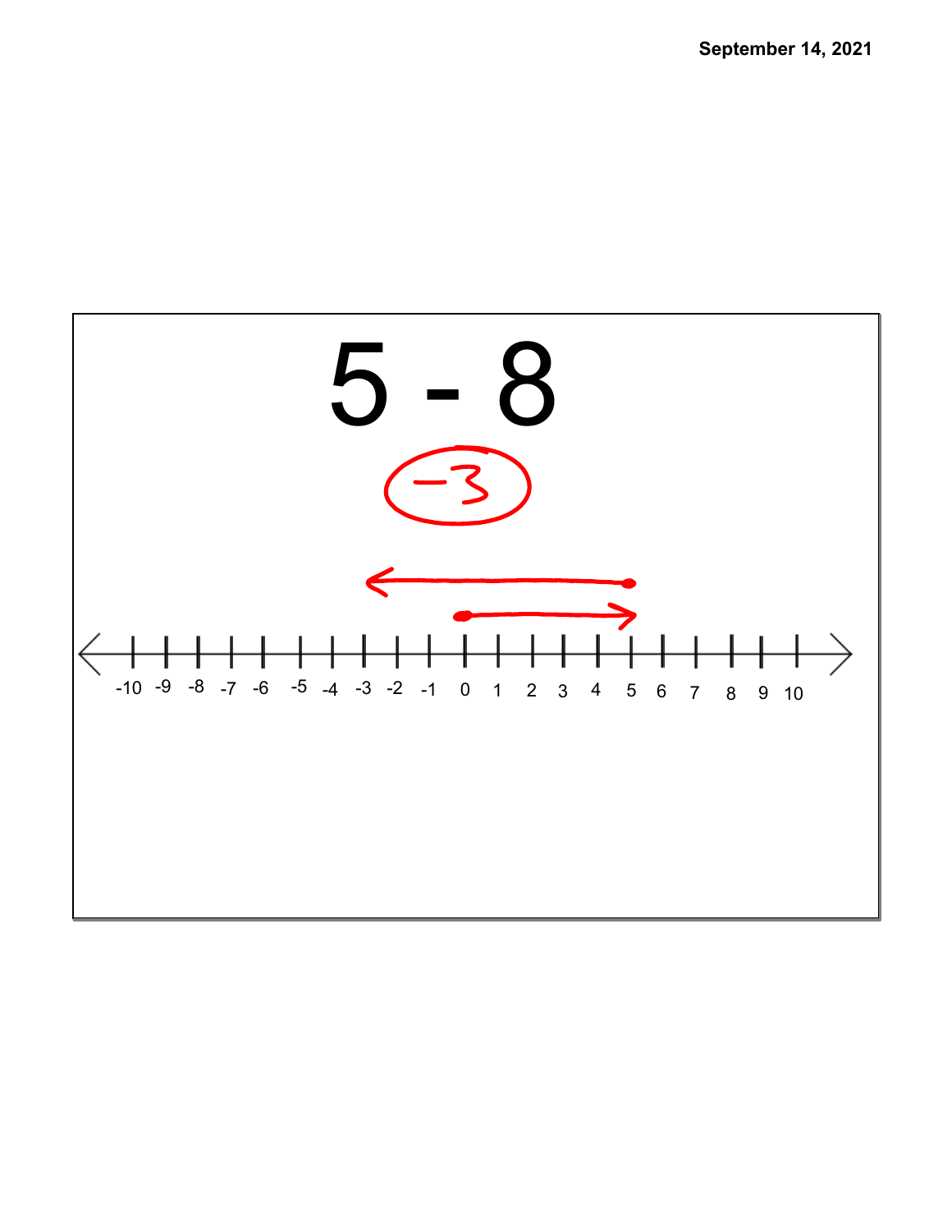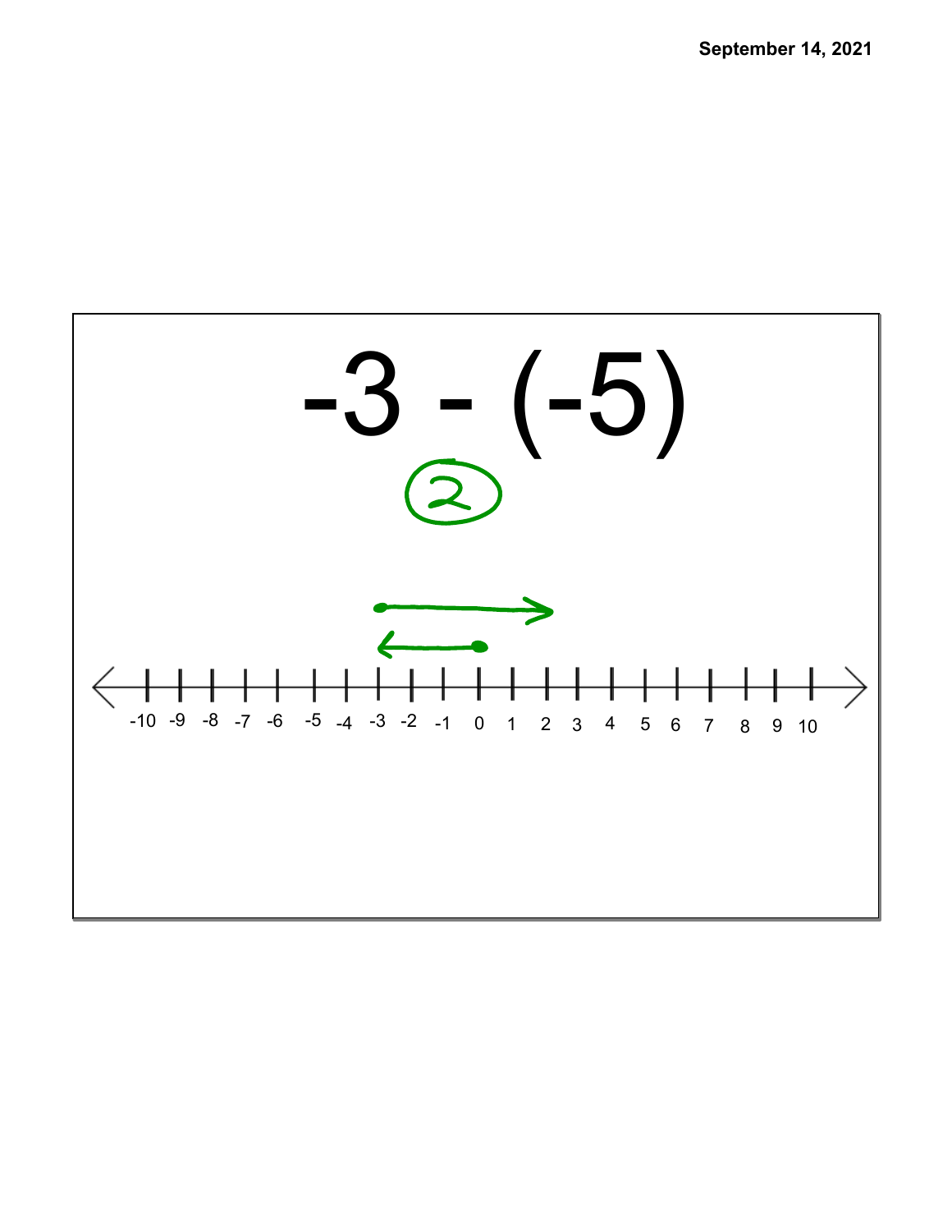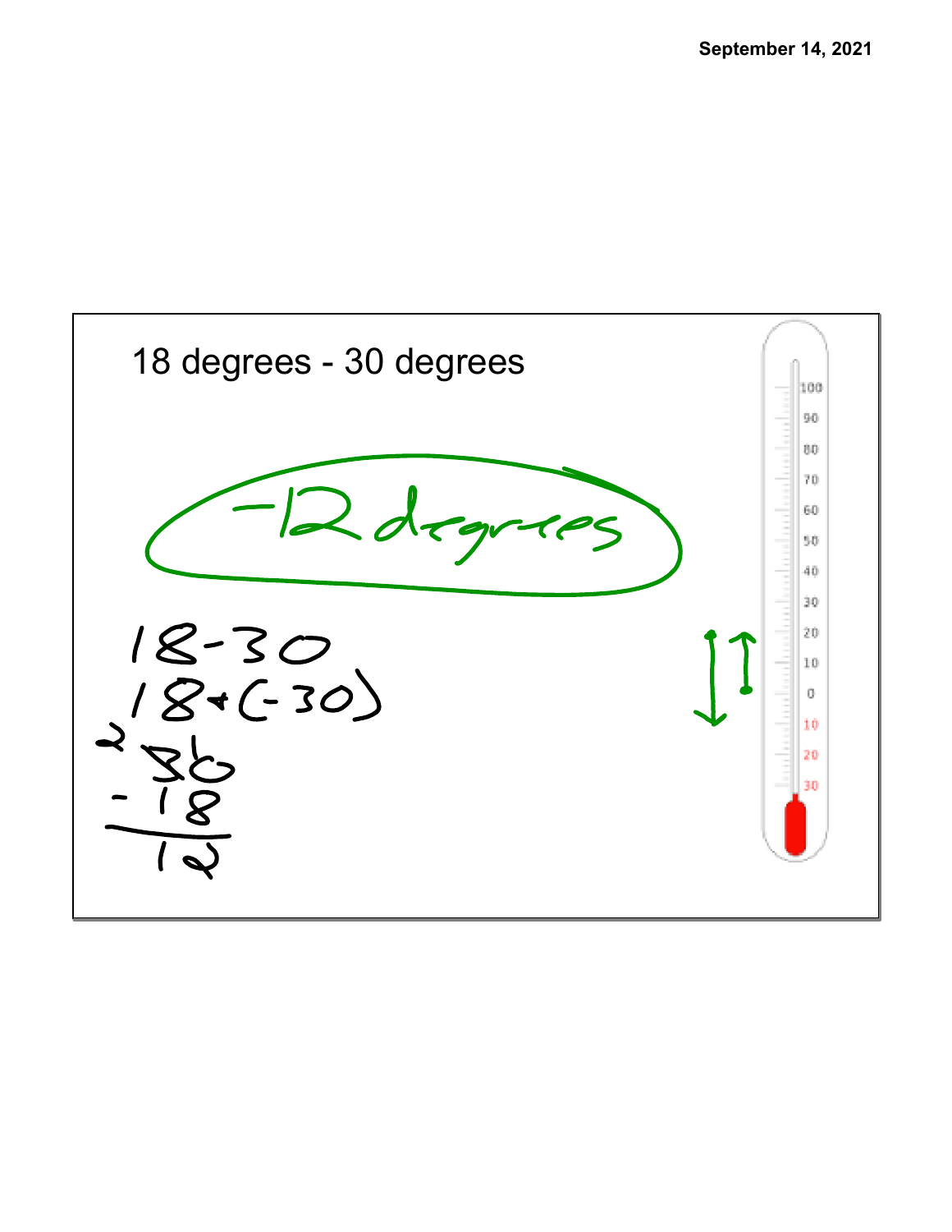![](_page_8_Figure_1.jpeg)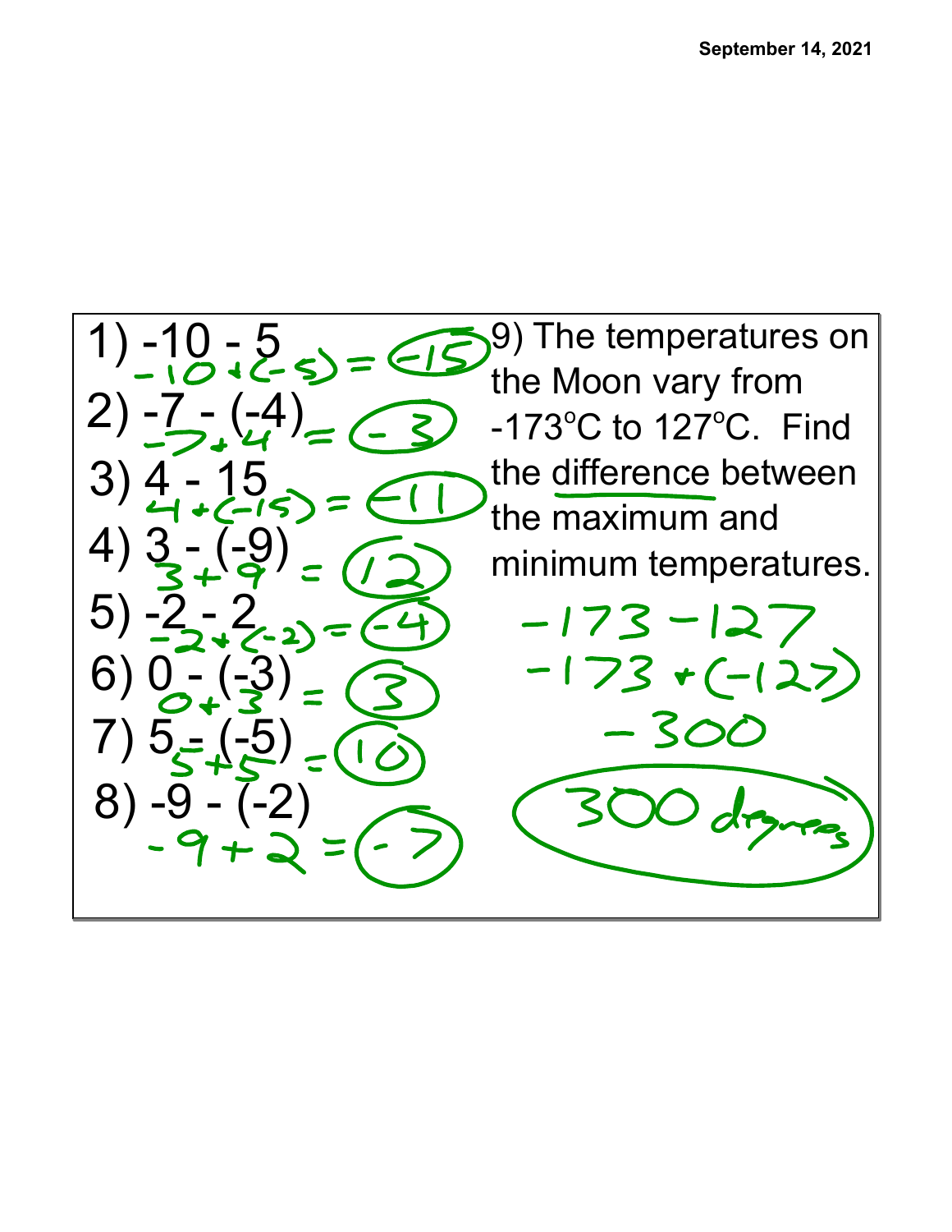![](_page_9_Figure_1.jpeg)